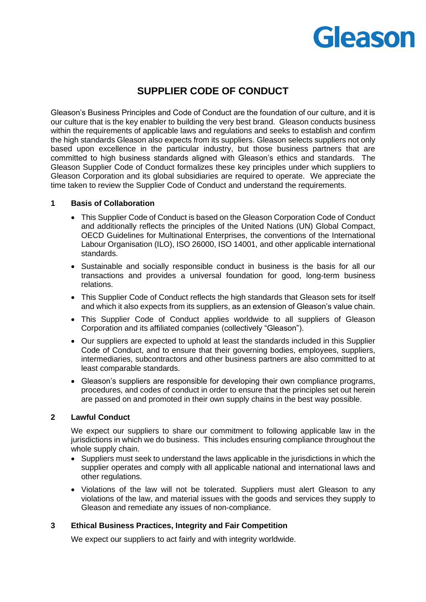# Gleason

## **SUPPLIER CODE OF CONDUCT**

Gleason's Business Principles and Code of Conduct are the foundation of our culture, and it is our culture that is the key enabler to building the very best brand. Gleason conducts business within the requirements of applicable laws and regulations and seeks to establish and confirm the high standards Gleason also expects from its suppliers. Gleason selects suppliers not only based upon excellence in the particular industry, but those business partners that are committed to high business standards aligned with Gleason's ethics and standards. The Gleason Supplier Code of Conduct formalizes these key principles under which suppliers to Gleason Corporation and its global subsidiaries are required to operate. We appreciate the time taken to review the Supplier Code of Conduct and understand the requirements.

#### **1 Basis of Collaboration**

- This Supplier Code of Conduct is based on the Gleason Corporation Code of Conduct and additionally reflects the principles of the United Nations (UN) Global Compact, OECD Guidelines for Multinational Enterprises, the conventions of the International Labour Organisation (ILO), ISO 26000, ISO 14001, and other applicable international standards.
- Sustainable and socially responsible conduct in business is the basis for all our transactions and provides a universal foundation for good, long-term business relations.
- This Supplier Code of Conduct reflects the high standards that Gleason sets for itself and which it also expects from its suppliers, as an extension of Gleason's value chain.
- This Supplier Code of Conduct applies worldwide to all suppliers of Gleason Corporation and its affiliated companies (collectively "Gleason").
- Our suppliers are expected to uphold at least the standards included in this Supplier Code of Conduct, and to ensure that their governing bodies, employees, suppliers, intermediaries, subcontractors and other business partners are also committed to at least comparable standards.
- Gleason's suppliers are responsible for developing their own compliance programs, procedures, and codes of conduct in order to ensure that the principles set out herein are passed on and promoted in their own supply chains in the best way possible.

#### **2 Lawful Conduct**

We expect our suppliers to share our commitment to following applicable law in the jurisdictions in which we do business. This includes ensuring compliance throughout the whole supply chain.

- Suppliers must seek to understand the laws applicable in the jurisdictions in which the supplier operates and comply with all applicable national and international laws and other regulations.
- Violations of the law will not be tolerated. Suppliers must alert Gleason to any violations of the law, and material issues with the goods and services they supply to Gleason and remediate any issues of non-compliance.

#### **3 Ethical Business Practices, Integrity and Fair Competition**

We expect our suppliers to act fairly and with integrity worldwide.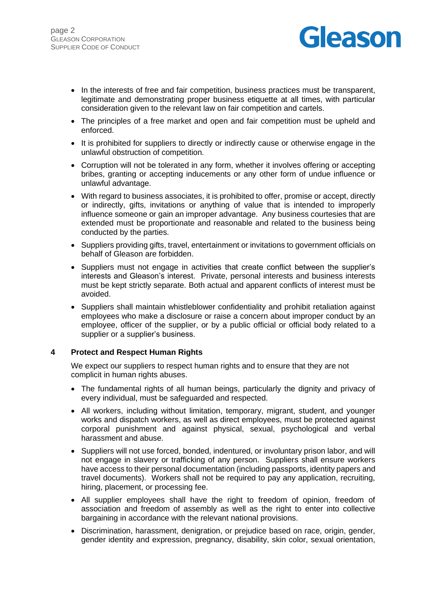

- In the interests of free and fair competition, business practices must be transparent, legitimate and demonstrating proper business etiquette at all times, with particular consideration given to the relevant law on fair competition and cartels.
- The principles of a free market and open and fair competition must be upheld and enforced.
- It is prohibited for suppliers to directly or indirectly cause or otherwise engage in the unlawful obstruction of competition.
- Corruption will not be tolerated in any form, whether it involves offering or accepting bribes, granting or accepting inducements or any other form of undue influence or unlawful advantage.
- With regard to business associates, it is prohibited to offer, promise or accept, directly or indirectly, gifts, invitations or anything of value that is intended to improperly influence someone or gain an improper advantage. Any business courtesies that are extended must be proportionate and reasonable and related to the business being conducted by the parties.
- Suppliers providing gifts, travel, entertainment or invitations to government officials on behalf of Gleason are forbidden.
- Suppliers must not engage in activities that create conflict between the supplier's interests and Gleason's interest. Private, personal interests and business interests must be kept strictly separate. Both actual and apparent conflicts of interest must be avoided.
- Suppliers shall maintain whistleblower confidentiality and prohibit retaliation against employees who make a disclosure or raise a concern about improper conduct by an employee, officer of the supplier, or by a public official or official body related to a supplier or a supplier's business.

#### **4 Protect and Respect Human Rights**

We expect our suppliers to respect human rights and to ensure that they are not complicit in human rights abuses.

- The fundamental rights of all human beings, particularly the dignity and privacy of every individual, must be safeguarded and respected.
- All workers, including without limitation, temporary, migrant, student, and younger works and dispatch workers, as well as direct employees, must be protected against corporal punishment and against physical, sexual, psychological and verbal harassment and abuse.
- Suppliers will not use forced, bonded, indentured, or involuntary prison labor, and will not engage in slavery or trafficking of any person. Suppliers shall ensure workers have access to their personal documentation (including passports, identity papers and travel documents). Workers shall not be required to pay any application, recruiting, hiring, placement, or processing fee.
- All supplier employees shall have the right to freedom of opinion, freedom of association and freedom of assembly as well as the right to enter into collective bargaining in accordance with the relevant national provisions.
- Discrimination, harassment, denigration, or prejudice based on race, origin, gender, gender identity and expression, pregnancy, disability, skin color, sexual orientation,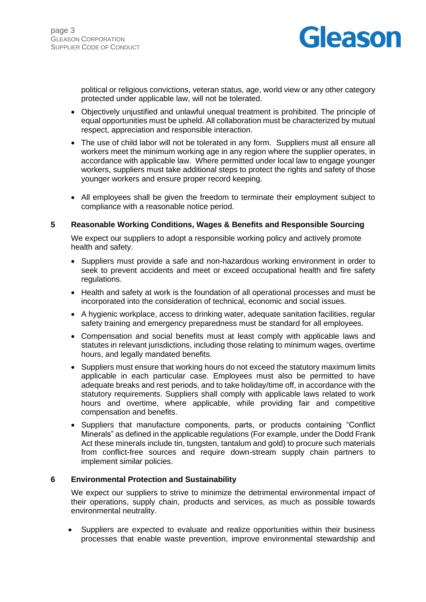

political or religious convictions, veteran status, age, world view or any other category protected under applicable law, will not be tolerated.

- Objectively unjustified and unlawful unequal treatment is prohibited. The principle of equal opportunities must be upheld. All collaboration must be characterized by mutual respect, appreciation and responsible interaction.
- The use of child labor will not be tolerated in any form. Suppliers must all ensure all workers meet the minimum working age in any region where the supplier operates, in accordance with applicable law. Where permitted under local law to engage younger workers, suppliers must take additional steps to protect the rights and safety of those younger workers and ensure proper record keeping.
- All employees shall be given the freedom to terminate their employment subject to compliance with a reasonable notice period.

#### **5 Reasonable Working Conditions, Wages & Benefits and Responsible Sourcing**

We expect our suppliers to adopt a responsible working policy and actively promote health and safety.

- Suppliers must provide a safe and non-hazardous working environment in order to seek to prevent accidents and meet or exceed occupational health and fire safety regulations.
- Health and safety at work is the foundation of all operational processes and must be incorporated into the consideration of technical, economic and social issues.
- A hygienic workplace, access to drinking water, adequate sanitation facilities, regular safety training and emergency preparedness must be standard for all employees.
- Compensation and social benefits must at least comply with applicable laws and statutes in relevant jurisdictions, including those relating to minimum wages, overtime hours, and legally mandated benefits.
- Suppliers must ensure that working hours do not exceed the statutory maximum limits applicable in each particular case. Employees must also be permitted to have adequate breaks and rest periods, and to take holiday/time off, in accordance with the statutory requirements. Suppliers shall comply with applicable laws related to work hours and overtime, where applicable, while providing fair and competitive compensation and benefits.
- Suppliers that manufacture components, parts, or products containing "Conflict Minerals" as defined in the applicable regulations (For example, under the Dodd Frank Act these minerals include tin, tungsten, tantalum and gold) to procure such materials from conflict-free sources and require down-stream supply chain partners to implement similar policies.

#### **6 Environmental Protection and Sustainability**

We expect our suppliers to strive to minimize the detrimental environmental impact of their operations, supply chain, products and services, as much as possible towards environmental neutrality.

• Suppliers are expected to evaluate and realize opportunities within their business processes that enable waste prevention, improve environmental stewardship and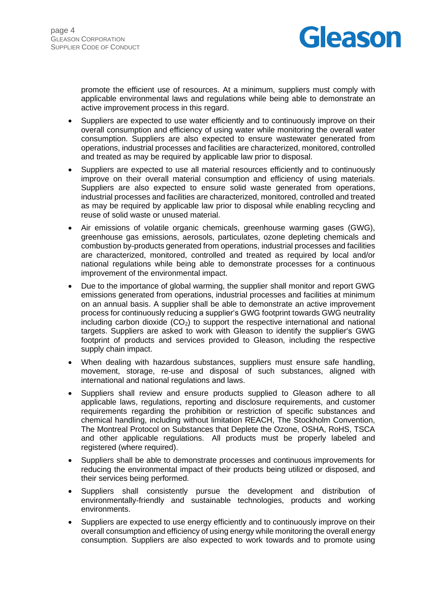

promote the efficient use of resources. At a minimum, suppliers must comply with applicable environmental laws and regulations while being able to demonstrate an active improvement process in this regard.

- Suppliers are expected to use water efficiently and to continuously improve on their overall consumption and efficiency of using water while monitoring the overall water consumption. Suppliers are also expected to ensure wastewater generated from operations, industrial processes and facilities are characterized, monitored, controlled and treated as may be required by applicable law prior to disposal.
- Suppliers are expected to use all material resources efficiently and to continuously improve on their overall material consumption and efficiency of using materials. Suppliers are also expected to ensure solid waste generated from operations, industrial processes and facilities are characterized, monitored, controlled and treated as may be required by applicable law prior to disposal while enabling recycling and reuse of solid waste or unused material.
- Air emissions of volatile organic chemicals, greenhouse warming gases (GWG), greenhouse gas emissions, aerosols, particulates, ozone depleting chemicals and combustion by-products generated from operations, industrial processes and facilities are characterized, monitored, controlled and treated as required by local and/or national regulations while being able to demonstrate processes for a continuous improvement of the environmental impact.
- Due to the importance of global warming, the supplier shall monitor and report GWG emissions generated from operations, industrial processes and facilities at minimum on an annual basis. A supplier shall be able to demonstrate an active improvement process for continuously reducing a supplier's GWG footprint towards GWG neutrality including carbon dioxide  $(CO<sub>2</sub>)$  to support the respective international and national targets. Suppliers are asked to work with Gleason to identify the supplier's GWG footprint of products and services provided to Gleason, including the respective supply chain impact.
- When dealing with hazardous substances, suppliers must ensure safe handling, movement, storage, re-use and disposal of such substances, aligned with international and national regulations and laws.
- Suppliers shall review and ensure products supplied to Gleason adhere to all applicable laws, regulations, reporting and disclosure requirements, and customer requirements regarding the prohibition or restriction of specific substances and chemical handling, including without limitation REACH, The Stockholm Convention, The Montreal Protocol on Substances that Deplete the Ozone, OSHA, RoHS, TSCA and other applicable regulations. All products must be properly labeled and registered (where required).
- Suppliers shall be able to demonstrate processes and continuous improvements for reducing the environmental impact of their products being utilized or disposed, and their services being performed.
- Suppliers shall consistently pursue the development and distribution of environmentally-friendly and sustainable technologies, products and working environments.
- Suppliers are expected to use energy efficiently and to continuously improve on their overall consumption and efficiency of using energy while monitoring the overall energy consumption. Suppliers are also expected to work towards and to promote using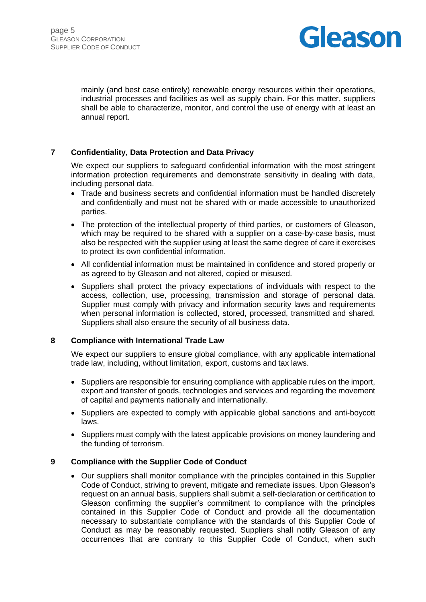

mainly (and best case entirely) renewable energy resources within their operations, industrial processes and facilities as well as supply chain. For this matter, suppliers shall be able to characterize, monitor, and control the use of energy with at least an annual report.

#### **7 Confidentiality, Data Protection and Data Privacy**

We expect our suppliers to safeguard confidential information with the most stringent information protection requirements and demonstrate sensitivity in dealing with data, including personal data.

- Trade and business secrets and confidential information must be handled discretely and confidentially and must not be shared with or made accessible to unauthorized parties.
- The protection of the intellectual property of third parties, or customers of Gleason, which may be required to be shared with a supplier on a case-by-case basis, must also be respected with the supplier using at least the same degree of care it exercises to protect its own confidential information.
- All confidential information must be maintained in confidence and stored properly or as agreed to by Gleason and not altered, copied or misused.
- Suppliers shall protect the privacy expectations of individuals with respect to the access, collection, use, processing, transmission and storage of personal data. Supplier must comply with privacy and information security laws and requirements when personal information is collected, stored, processed, transmitted and shared. Suppliers shall also ensure the security of all business data.

#### **8 Compliance with International Trade Law**

We expect our suppliers to ensure global compliance, with any applicable international trade law, including, without limitation, export, customs and tax laws.

- Suppliers are responsible for ensuring compliance with applicable rules on the import, export and transfer of goods, technologies and services and regarding the movement of capital and payments nationally and internationally.
- Suppliers are expected to comply with applicable global sanctions and anti-boycott laws.
- Suppliers must comply with the latest applicable provisions on money laundering and the funding of terrorism.

#### **9 Compliance with the Supplier Code of Conduct**

• Our suppliers shall monitor compliance with the principles contained in this Supplier Code of Conduct, striving to prevent, mitigate and remediate issues. Upon Gleason's request on an annual basis, suppliers shall submit a self-declaration or certification to Gleason confirming the supplier's commitment to compliance with the principles contained in this Supplier Code of Conduct and provide all the documentation necessary to substantiate compliance with the standards of this Supplier Code of Conduct as may be reasonably requested. Suppliers shall notify Gleason of any occurrences that are contrary to this Supplier Code of Conduct, when such